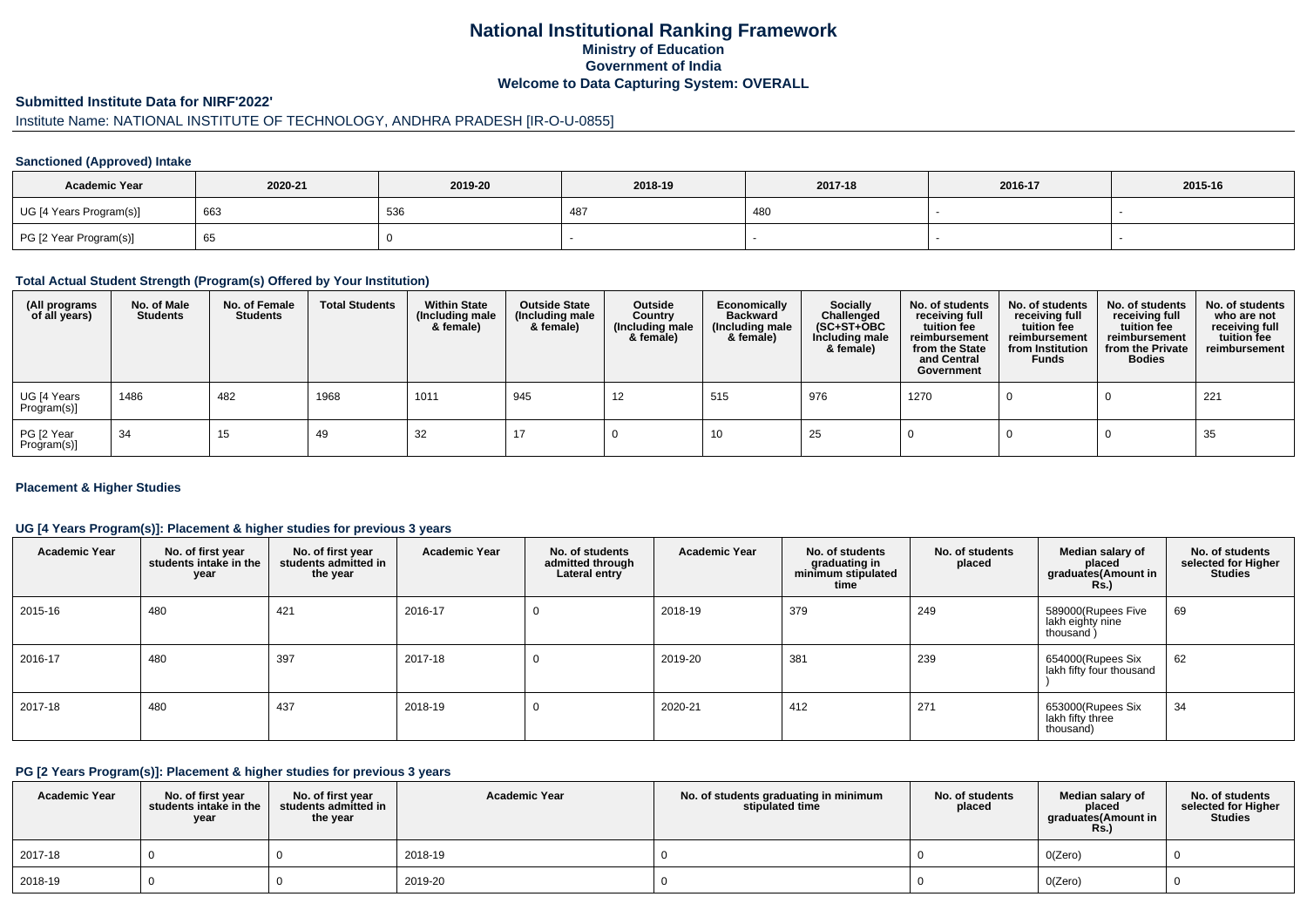# **National Institutional Ranking FrameworkMinistry of Education Government of IndiaWelcome to Data Capturing System: OVERALL**

#### **Submitted Institute Data for NIRF'2022'**

# Institute Name: NATIONAL INSTITUTE OF TECHNOLOGY, ANDHRA PRADESH [IR-O-U-0855]

## **Sanctioned (Approved) Intake**

| <b>Academic Year</b>    | 2020-21 | 2019-20 | 2018-19 | 2017-18 | 2016-17 | 2015-16 |
|-------------------------|---------|---------|---------|---------|---------|---------|
| UG [4 Years Program(s)] | 663     | 536     | -48     | 480     |         |         |
| PG [2 Year Program(s)]  | - 65    |         |         |         |         |         |

#### **Total Actual Student Strength (Program(s) Offered by Your Institution)**

| (All programs<br>of all years) | No. of Male<br><b>Students</b> | No. of Female<br>Students | <b>Total Students</b> | <b>Within State</b><br>(Including male<br>& female) | <b>Outside State</b><br>(Including male<br>& female) | Outside<br>Country<br>(Including male<br>& female) | Economically<br><b>Backward</b><br>(Including male<br>& female) | <b>Socially</b><br>Challenged<br>$(SC+ST+OBC)$<br>Including male<br>& female) | No. of students<br>receiving full<br>tuition fee<br>reimbursement<br>from the State<br>and Central<br>Government | No. of students<br>receiving full<br>tuition fee<br>reimbursement<br>from Institution<br><b>Funds</b> | No. of students<br>receiving full<br>tuition fee<br>reimbursement<br>from the Private<br><b>Bodies</b> | No. of students<br>who are not<br>receiving full<br>tuition fee<br>reimbursement |
|--------------------------------|--------------------------------|---------------------------|-----------------------|-----------------------------------------------------|------------------------------------------------------|----------------------------------------------------|-----------------------------------------------------------------|-------------------------------------------------------------------------------|------------------------------------------------------------------------------------------------------------------|-------------------------------------------------------------------------------------------------------|--------------------------------------------------------------------------------------------------------|----------------------------------------------------------------------------------|
| UG [4 Years<br>Program(s)]     | 1486                           | 482                       | 1968                  | 1011                                                | 945                                                  | 12                                                 | 515                                                             | 976                                                                           | 1270                                                                                                             |                                                                                                       |                                                                                                        | 221                                                                              |
| PG [2 Year<br>Program(s)]      | 34                             | 15                        | 49                    | 32                                                  |                                                      |                                                    | 10                                                              | 25                                                                            |                                                                                                                  |                                                                                                       |                                                                                                        | 35                                                                               |

## **Placement & Higher Studies**

## **UG [4 Years Program(s)]: Placement & higher studies for previous 3 years**

| <b>Academic Year</b> | No. of first year<br>students intake in the<br>year | No. of first year<br>students admitted in<br>the year | <b>Academic Year</b> | No. of students<br>admitted through<br>Lateral entry | <b>Academic Year</b> | No. of students<br>graduating in<br>minimum stipulated<br>time | No. of students<br>placed | Median salary of<br>placed<br>graduates(Amount in<br><b>Rs.)</b> | No. of students<br>selected for Higher<br><b>Studies</b> |
|----------------------|-----------------------------------------------------|-------------------------------------------------------|----------------------|------------------------------------------------------|----------------------|----------------------------------------------------------------|---------------------------|------------------------------------------------------------------|----------------------------------------------------------|
| 2015-16              | 480                                                 | 421                                                   | 2016-17              | $\Omega$                                             | 2018-19              | 379                                                            | 249                       | 589000(Rupees Five<br>lakh eighty nine<br>thousand)              | 69                                                       |
| 2016-17              | 480                                                 | 397                                                   | 2017-18              | 0                                                    | 2019-20              | 381                                                            | 239                       | 654000(Rupees Six<br>lakh fifty four thousand                    | 62                                                       |
| 2017-18              | 480                                                 | 437                                                   | 2018-19              | 0                                                    | 2020-21              | 412                                                            | 271                       | 653000(Rupees Six<br>lakh fifty three<br>thousand)               | 34                                                       |

#### **PG [2 Years Program(s)]: Placement & higher studies for previous 3 years**

| <b>Academic Year</b> | No. of first year<br>students intake in the<br>year | No. of first year<br>students admitted in<br>the year | <b>Academic Year</b> | No. of students graduating in minimum<br>stipulated time | No. of students<br>placed | Median salary of<br>placed<br>graduates(Amount in<br><b>Rs.)</b> | No. of students<br>selected for Higher<br><b>Studies</b> |
|----------------------|-----------------------------------------------------|-------------------------------------------------------|----------------------|----------------------------------------------------------|---------------------------|------------------------------------------------------------------|----------------------------------------------------------|
| 2017-18              |                                                     |                                                       | 2018-19              |                                                          |                           | O(Zero)                                                          |                                                          |
| 2018-19              |                                                     |                                                       | 2019-20              |                                                          |                           | O(Zero)                                                          |                                                          |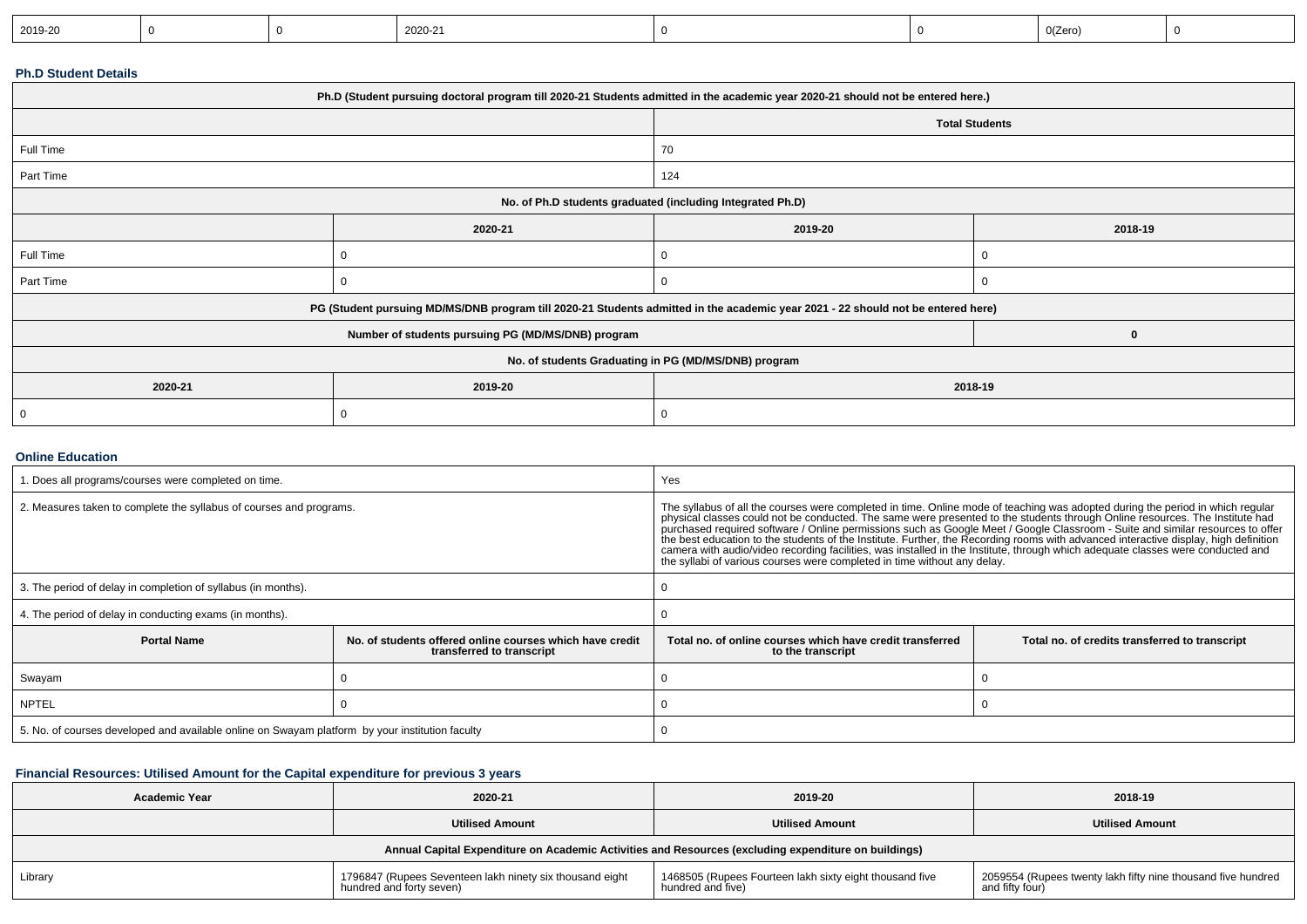| $0$ (Zero<br>2019-20<br>2020-21 |  |
|---------------------------------|--|
|---------------------------------|--|

#### **Ph.D Student Details**

| Ph.D (Student pursuing doctoral program till 2020-21 Students admitted in the academic year 2020-21 should not be entered here.) |                                                                                                                                  |                       |          |  |  |  |
|----------------------------------------------------------------------------------------------------------------------------------|----------------------------------------------------------------------------------------------------------------------------------|-----------------------|----------|--|--|--|
|                                                                                                                                  |                                                                                                                                  | <b>Total Students</b> |          |  |  |  |
| Full Time                                                                                                                        |                                                                                                                                  | 70                    |          |  |  |  |
| Part Time                                                                                                                        |                                                                                                                                  | 124                   |          |  |  |  |
| No. of Ph.D students graduated (including Integrated Ph.D)                                                                       |                                                                                                                                  |                       |          |  |  |  |
|                                                                                                                                  | 2020-21                                                                                                                          | 2019-20               | 2018-19  |  |  |  |
| Full Time                                                                                                                        |                                                                                                                                  | 0                     |          |  |  |  |
| Part Time                                                                                                                        |                                                                                                                                  | $\Omega$              |          |  |  |  |
|                                                                                                                                  | PG (Student pursuing MD/MS/DNB program till 2020-21 Students admitted in the academic year 2021 - 22 should not be entered here) |                       |          |  |  |  |
|                                                                                                                                  | Number of students pursuing PG (MD/MS/DNB) program                                                                               |                       | $\bf{0}$ |  |  |  |
|                                                                                                                                  | No. of students Graduating in PG (MD/MS/DNB) program                                                                             |                       |          |  |  |  |
| 2020-21                                                                                                                          | 2019-20                                                                                                                          | 2018-19               |          |  |  |  |
| 0                                                                                                                                |                                                                                                                                  | 0                     |          |  |  |  |

## **Online Education**

| . Does all programs/courses were completed on time.                                             |                                                                                       | Yes                                                                                                                                                                                                                                                                                                                                                                                                                                              |                                                |  |
|-------------------------------------------------------------------------------------------------|---------------------------------------------------------------------------------------|--------------------------------------------------------------------------------------------------------------------------------------------------------------------------------------------------------------------------------------------------------------------------------------------------------------------------------------------------------------------------------------------------------------------------------------------------|------------------------------------------------|--|
| 2. Measures taken to complete the syllabus of courses and programs.                             |                                                                                       | The syllabus of all the courses were completed in time. Online mode of teaching was adopted during the period in which regular<br>physical classes could not be conducted. The same were presented to the students through Online<br>camera with audio/video recording facilities, was installed in the Institute, through which adequate classes were conducted and<br>the syllabi of various courses were completed in time without any delay. |                                                |  |
| 3. The period of delay in completion of syllabus (in months).                                   |                                                                                       |                                                                                                                                                                                                                                                                                                                                                                                                                                                  |                                                |  |
| 4. The period of delay in conducting exams (in months).                                         |                                                                                       |                                                                                                                                                                                                                                                                                                                                                                                                                                                  |                                                |  |
| <b>Portal Name</b>                                                                              | No, of students offered online courses which have credit<br>transferred to transcript | Total no. of online courses which have credit transferred<br>to the transcript                                                                                                                                                                                                                                                                                                                                                                   | Total no. of credits transferred to transcript |  |
| Swayam                                                                                          |                                                                                       |                                                                                                                                                                                                                                                                                                                                                                                                                                                  |                                                |  |
| <b>NPTEL</b>                                                                                    |                                                                                       |                                                                                                                                                                                                                                                                                                                                                                                                                                                  |                                                |  |
| 5. No. of courses developed and available online on Swayam platform by your institution faculty |                                                                                       |                                                                                                                                                                                                                                                                                                                                                                                                                                                  |                                                |  |

## **Financial Resources: Utilised Amount for the Capital expenditure for previous 3 years**

| Academic Year                                                                                        | 2020-21                                                                              | 2019-20                                                                      | 2018-19                                                                         |  |  |  |
|------------------------------------------------------------------------------------------------------|--------------------------------------------------------------------------------------|------------------------------------------------------------------------------|---------------------------------------------------------------------------------|--|--|--|
|                                                                                                      | <b>Utilised Amount</b>                                                               | <b>Utilised Amount</b>                                                       | <b>Utilised Amount</b>                                                          |  |  |  |
| Annual Capital Expenditure on Academic Activities and Resources (excluding expenditure on buildings) |                                                                                      |                                                                              |                                                                                 |  |  |  |
| Library                                                                                              | 1796847 (Rupees Seventeen lakh ninety six thousand eight<br>hundred and forty seven) | 1468505 (Rupees Fourteen lakh sixty eight thousand five<br>hundred and five) | 2059554 (Rupees twenty lakh fifty nine thousand five hundred<br>and fifty four) |  |  |  |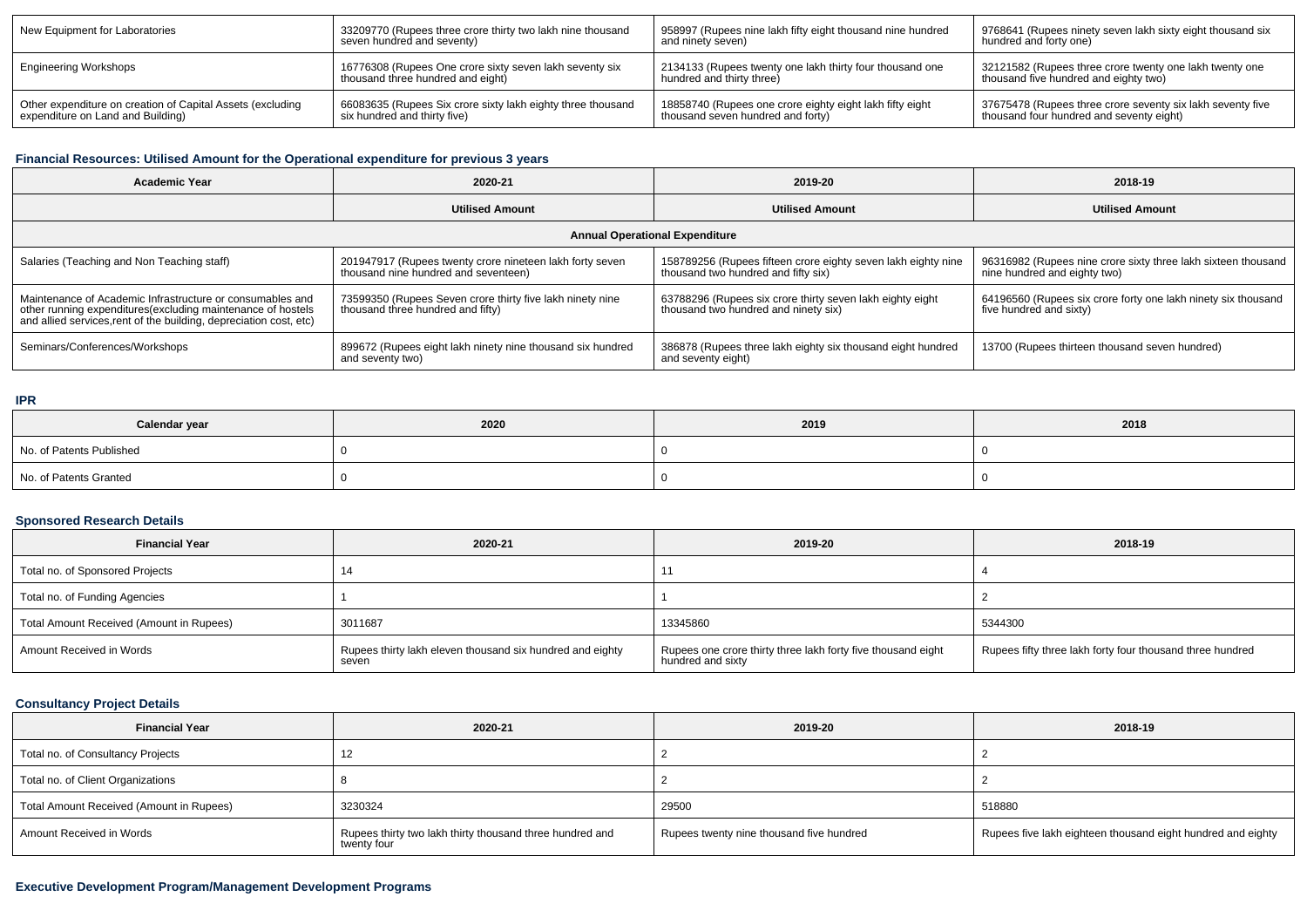| New Equipment for Laboratories                             | 33209770 (Rupees three crore thirty two lakh nine thousand  | 958997 (Rupees nine lakh fifty eight thousand nine hundred | 1 9768641 (Rupees ninety seven lakh sixty eight thousand six |
|------------------------------------------------------------|-------------------------------------------------------------|------------------------------------------------------------|--------------------------------------------------------------|
|                                                            | seven hundred and seventy)                                  | and ninety seven)                                          | hundred and forty one)                                       |
| Engineering Workshops                                      | 16776308 (Rupees One crore sixty seven lakh seventy six     | 2134133 (Rupees twenty one lakh thirty four thousand one   | 32121582 (Rupees three crore twenty one lakh twenty one      |
|                                                            | thousand three hundred and eight)                           | hundred and thirty three)                                  | thousand five hundred and eighty two)                        |
| Other expenditure on creation of Capital Assets (excluding | 66083635 (Rupees Six crore sixty lakh eighty three thousand | 18858740 (Rupees one crore eighty eight lakh fifty eight   | 37675478 (Rupees three crore seventy six lakh seventy five   |
| expenditure on Land and Building)                          | six hundred and thirty five)                                | thousand seven hundred and forty)                          | thousand four hundred and seventy eight)                     |

## **Financial Resources: Utilised Amount for the Operational expenditure for previous 3 years**

| <b>Academic Year</b>                                                                                                                                                                            | 2020-21                                                                                          | 2019-20                                                                                              | 2018-19                                                                                       |  |  |  |  |
|-------------------------------------------------------------------------------------------------------------------------------------------------------------------------------------------------|--------------------------------------------------------------------------------------------------|------------------------------------------------------------------------------------------------------|-----------------------------------------------------------------------------------------------|--|--|--|--|
|                                                                                                                                                                                                 | <b>Utilised Amount</b>                                                                           | <b>Utilised Amount</b>                                                                               | <b>Utilised Amount</b>                                                                        |  |  |  |  |
| <b>Annual Operational Expenditure</b>                                                                                                                                                           |                                                                                                  |                                                                                                      |                                                                                               |  |  |  |  |
| Salaries (Teaching and Non Teaching staff)                                                                                                                                                      | 201947917 (Rupees twenty crore nineteen lakh forty seven<br>thousand nine hundred and seventeen) | 158789256 (Rupees fifteen crore eighty seven lakh eighty nine<br>thousand two hundred and fifty six) | 96316982 (Rupees nine crore sixty three lakh sixteen thousand<br>nine hundred and eighty two) |  |  |  |  |
| Maintenance of Academic Infrastructure or consumables and<br>other running expenditures (excluding maintenance of hostels<br>and allied services, rent of the building, depreciation cost, etc) | 73599350 (Rupees Seven crore thirty five lakh ninety nine<br>thousand three hundred and fifty)   | 63788296 (Rupees six crore thirty seven lakh eighty eight<br>thousand two hundred and ninety six)    | 64196560 (Rupees six crore forty one lakh ninety six thousand<br>five hundred and sixty)      |  |  |  |  |
| Seminars/Conferences/Workshops                                                                                                                                                                  | 899672 (Rupees eight lakh ninety nine thousand six hundred<br>and seventy two)                   | 386878 (Rupees three lakh eighty six thousand eight hundred<br>and seventy eight)                    | 13700 (Rupees thirteen thousand seven hundred)                                                |  |  |  |  |

## **IPR**

| Calendar year            | 2020 | 2019 | 2018 |
|--------------------------|------|------|------|
| No. of Patents Published |      |      |      |
| No. of Patents Granted   |      |      |      |

## **Sponsored Research Details**

| <b>Financial Year</b>                    | 2020-21                                                            | 2019-20                                                                           | 2018-19                                                   |
|------------------------------------------|--------------------------------------------------------------------|-----------------------------------------------------------------------------------|-----------------------------------------------------------|
| Total no. of Sponsored Projects          | 14                                                                 |                                                                                   |                                                           |
| Total no. of Funding Agencies            |                                                                    |                                                                                   |                                                           |
| Total Amount Received (Amount in Rupees) | 3011687                                                            | 13345860                                                                          | 5344300                                                   |
| Amount Received in Words                 | Rupees thirty lakh eleven thousand six hundred and eighty<br>seven | Rupees one crore thirty three lakh forty five thousand eight<br>hundred and sixty | Rupees fifty three lakh forty four thousand three hundred |

## **Consultancy Project Details**

| <b>Financial Year</b>                    | 2020-21                                                                 | 2019-20                                  | 2018-19                                                     |
|------------------------------------------|-------------------------------------------------------------------------|------------------------------------------|-------------------------------------------------------------|
| Total no. of Consultancy Projects        |                                                                         |                                          |                                                             |
| Total no. of Client Organizations        |                                                                         |                                          |                                                             |
| Total Amount Received (Amount in Rupees) | 3230324                                                                 | 29500                                    | 518880                                                      |
| Amount Received in Words                 | Rupees thirty two lakh thirty thousand three hundred and<br>twenty four | Rupees twenty nine thousand five hundred | Rupees five lakh eighteen thousand eight hundred and eighty |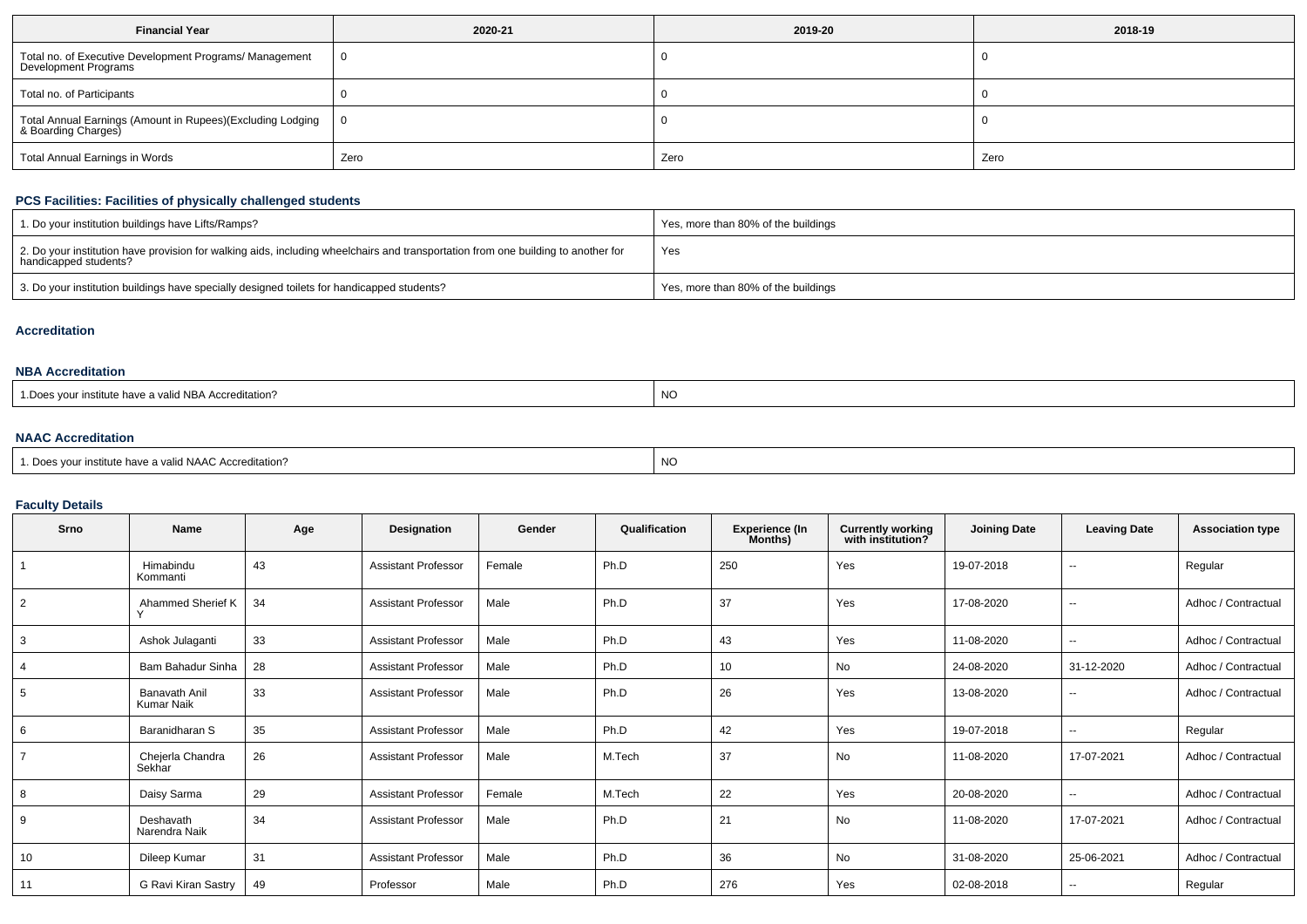| <b>Financial Year</b>                                                             | 2020-21 | 2019-20 | 2018-19 |
|-----------------------------------------------------------------------------------|---------|---------|---------|
| Total no. of Executive Development Programs/ Management<br>Development Programs   | 0       |         |         |
| Total no. of Participants                                                         |         |         |         |
| Total Annual Earnings (Amount in Rupees)(Excluding Lodging<br>& Boarding Charges) | 0       |         |         |
| Total Annual Earnings in Words                                                    | Zero    | Zero    | Zero    |

## **PCS Facilities: Facilities of physically challenged students**

| 1. Do your institution buildings have Lifts/Ramps?                                                                                                         | Yes, more than 80% of the buildings |
|------------------------------------------------------------------------------------------------------------------------------------------------------------|-------------------------------------|
| 2. Do your institution have provision for walking aids, including wheelchairs and transportation from one building to another for<br>handicapped students? | Yes                                 |
| 3. Do your institution buildings have specially designed toilets for handicapped students?                                                                 | Yes, more than 80% of the buildings |

#### **Accreditation**

## **NBA Accreditation**

| <b>NO</b><br>: have a valid NBA Accreditation?<br>our institute<br>.Do<br>__ |
|------------------------------------------------------------------------------|
|------------------------------------------------------------------------------|

## **NAAC Accreditation**

| <sup>1</sup> Does your institute have a valid NAAC Accreditation? | <b>NC</b> |
|-------------------------------------------------------------------|-----------|
|-------------------------------------------------------------------|-----------|

## **Faculty Details**

| Srno           | Name                                      | Age | Designation                | Gender | Qualification | <b>Experience (In</b><br>Months) | Currently working<br>with institution? | <b>Joining Date</b> | <b>Leaving Date</b>      | <b>Association type</b> |
|----------------|-------------------------------------------|-----|----------------------------|--------|---------------|----------------------------------|----------------------------------------|---------------------|--------------------------|-------------------------|
|                | Himabindu<br>Kommanti                     | 43  | <b>Assistant Professor</b> | Female | Ph.D          | 250                              | Yes                                    | 19-07-2018          |                          | Regular                 |
| 2              | Ahammed Sherief K                         | 34  | <b>Assistant Professor</b> | Male   | Ph.D          | 37                               | Yes                                    | 17-08-2020          | $\overline{\phantom{a}}$ | Adhoc / Contractual     |
| 3              | Ashok Julaganti                           | 33  | <b>Assistant Professor</b> | Male   | Ph.D          | 43                               | Yes                                    | 11-08-2020          | $\overline{\phantom{a}}$ | Adhoc / Contractual     |
| 4              | Bam Bahadur Sinha                         | 28  | <b>Assistant Professor</b> | Male   | Ph.D          | 10                               | No                                     | 24-08-2020          | 31-12-2020               | Adhoc / Contractual     |
| 5              | <b>Banavath Anil</b><br><b>Kumar Naik</b> | 33  | <b>Assistant Professor</b> | Male   | Ph.D          | 26                               | Yes                                    | 13-08-2020          | $\overline{\phantom{a}}$ | Adhoc / Contractual     |
| 6              | Baranidharan S                            | 35  | <b>Assistant Professor</b> | Male   | Ph.D          | 42                               | Yes                                    | 19-07-2018          | $\sim$                   | Regular                 |
| $\overline{7}$ | Chejerla Chandra<br>Sekhar                | 26  | <b>Assistant Professor</b> | Male   | M.Tech        | 37                               | No                                     | 11-08-2020          | 17-07-2021               | Adhoc / Contractual     |
| 8              | Daisy Sarma                               | 29  | <b>Assistant Professor</b> | Female | M.Tech        | 22                               | Yes                                    | 20-08-2020          | $\overline{\phantom{m}}$ | Adhoc / Contractual     |
| 9              | Deshavath<br>Narendra Naik                | 34  | <b>Assistant Professor</b> | Male   | Ph.D          | 21                               | <b>No</b>                              | 11-08-2020          | 17-07-2021               | Adhoc / Contractual     |
| 10             | Dileep Kumar                              | 31  | <b>Assistant Professor</b> | Male   | Ph.D          | 36                               | No                                     | 31-08-2020          | 25-06-2021               | Adhoc / Contractual     |
| 11             | G Ravi Kiran Sastry                       | 49  | Professor                  | Male   | Ph.D          | 276                              | Yes                                    | 02-08-2018          | $\sim$                   | Regular                 |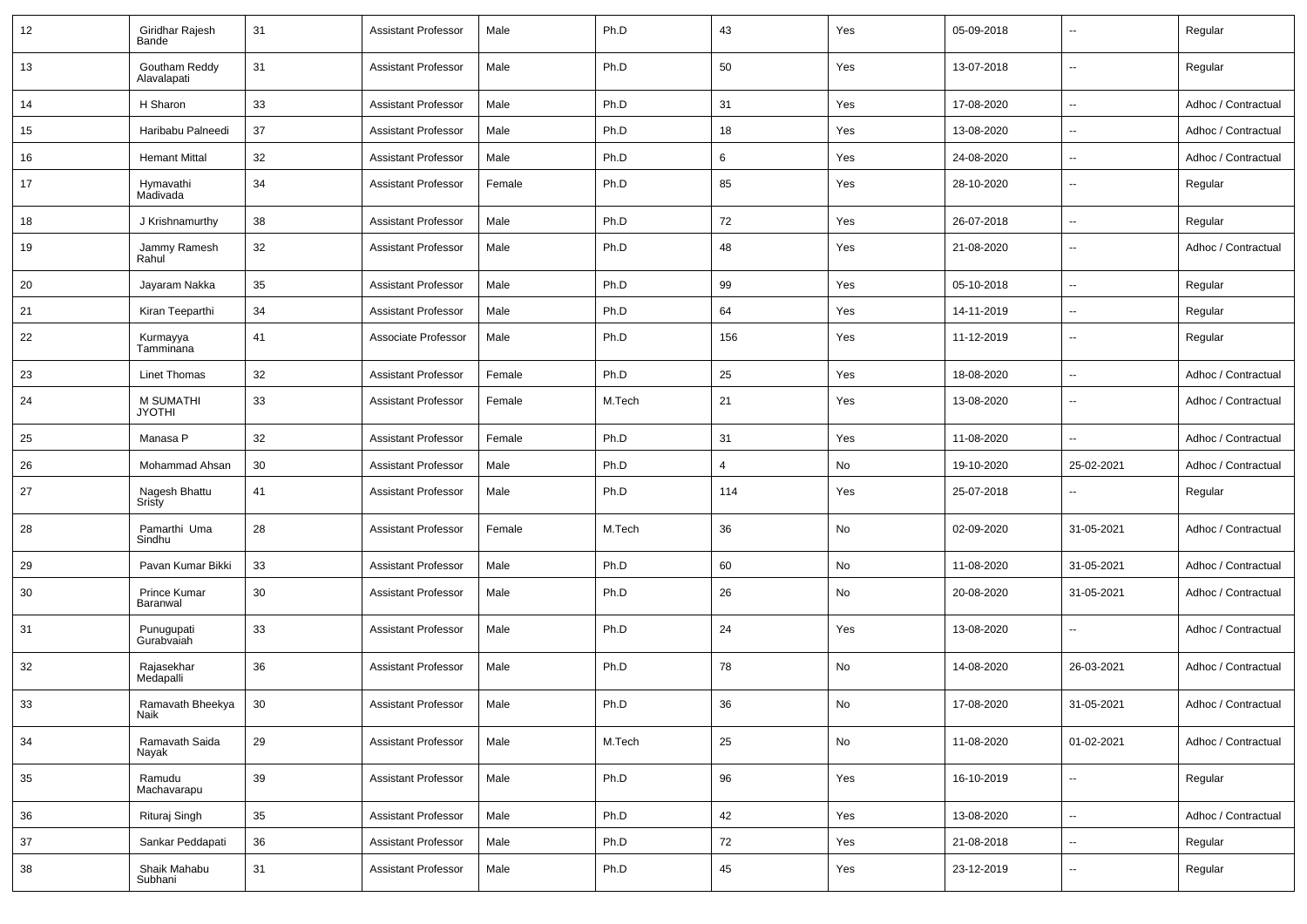| 12 | Giridhar Rajesh<br>Bande          | 31 | <b>Assistant Professor</b> | Male   | Ph.D   | 43             | Yes | 05-09-2018 | $\overline{\phantom{a}}$ | Regular             |
|----|-----------------------------------|----|----------------------------|--------|--------|----------------|-----|------------|--------------------------|---------------------|
| 13 | Goutham Reddy<br>Alavalapati      | 31 | <b>Assistant Professor</b> | Male   | Ph.D   | 50             | Yes | 13-07-2018 | $\overline{\phantom{a}}$ | Regular             |
| 14 | H Sharon                          | 33 | <b>Assistant Professor</b> | Male   | Ph.D   | 31             | Yes | 17-08-2020 | $\overline{\phantom{a}}$ | Adhoc / Contractual |
| 15 | Haribabu Palneedi                 | 37 | <b>Assistant Professor</b> | Male   | Ph.D   | 18             | Yes | 13-08-2020 | $\overline{\phantom{a}}$ | Adhoc / Contractual |
| 16 | <b>Hemant Mittal</b>              | 32 | <b>Assistant Professor</b> | Male   | Ph.D   | 6              | Yes | 24-08-2020 | $\mathbf{u}$             | Adhoc / Contractual |
| 17 | Hymavathi<br>Madivada             | 34 | <b>Assistant Professor</b> | Female | Ph.D   | 85             | Yes | 28-10-2020 | $\overline{\phantom{a}}$ | Regular             |
| 18 | J Krishnamurthy                   | 38 | <b>Assistant Professor</b> | Male   | Ph.D   | 72             | Yes | 26-07-2018 | $\overline{\phantom{a}}$ | Regular             |
| 19 | Jammy Ramesh<br>Rahul             | 32 | <b>Assistant Professor</b> | Male   | Ph.D   | 48             | Yes | 21-08-2020 | $\overline{\phantom{a}}$ | Adhoc / Contractual |
| 20 | Jayaram Nakka                     | 35 | <b>Assistant Professor</b> | Male   | Ph.D   | 99             | Yes | 05-10-2018 | $\overline{\phantom{a}}$ | Regular             |
| 21 | Kiran Teeparthi                   | 34 | <b>Assistant Professor</b> | Male   | Ph.D   | 64             | Yes | 14-11-2019 | $\sim$                   | Regular             |
| 22 | Kurmayya<br>Tamminana             | 41 | Associate Professor        | Male   | Ph.D   | 156            | Yes | 11-12-2019 | $\overline{\phantom{a}}$ | Regular             |
| 23 | <b>Linet Thomas</b>               | 32 | <b>Assistant Professor</b> | Female | Ph.D   | 25             | Yes | 18-08-2020 | $\overline{\phantom{a}}$ | Adhoc / Contractual |
| 24 | <b>M SUMATHI</b><br><b>JYOTHI</b> | 33 | <b>Assistant Professor</b> | Female | M.Tech | 21             | Yes | 13-08-2020 | $\overline{\phantom{a}}$ | Adhoc / Contractual |
| 25 | Manasa P                          | 32 | <b>Assistant Professor</b> | Female | Ph.D   | 31             | Yes | 11-08-2020 | $\overline{\phantom{a}}$ | Adhoc / Contractual |
| 26 | Mohammad Ahsan                    | 30 | <b>Assistant Professor</b> | Male   | Ph.D   | $\overline{4}$ | No  | 19-10-2020 | 25-02-2021               | Adhoc / Contractual |
| 27 | Nagesh Bhattu<br>Sristy           | 41 | <b>Assistant Professor</b> | Male   | Ph.D   | 114            | Yes | 25-07-2018 | $\overline{\phantom{a}}$ | Regular             |
| 28 | Pamarthi Uma<br>Sindhu            | 28 | <b>Assistant Professor</b> | Female | M.Tech | 36             | No  | 02-09-2020 | 31-05-2021               | Adhoc / Contractual |
| 29 | Pavan Kumar Bikki                 | 33 | <b>Assistant Professor</b> | Male   | Ph.D   | 60             | No  | 11-08-2020 | 31-05-2021               | Adhoc / Contractual |
| 30 | Prince Kumar<br>Baranwal          | 30 | <b>Assistant Professor</b> | Male   | Ph.D   | 26             | No  | 20-08-2020 | 31-05-2021               | Adhoc / Contractual |
| 31 | Punugupati<br>Gurabvaiah          | 33 | <b>Assistant Professor</b> | Male   | Ph.D   | 24             | Yes | 13-08-2020 | $\overline{\phantom{a}}$ | Adhoc / Contractual |
| 32 | Rajasekhar<br>Medapalli           | 36 | <b>Assistant Professor</b> | Male   | Ph.D   | 78             | No  | 14-08-2020 | 26-03-2021               | Adhoc / Contractual |
| 33 | Ramavath Bheekya<br>Naik          | 30 | <b>Assistant Professor</b> | Male   | Ph.D   | 36             | No  | 17-08-2020 | 31-05-2021               | Adhoc / Contractual |
| 34 | Ramavath Saida<br>Nayak           | 29 | <b>Assistant Professor</b> | Male   | M.Tech | 25             | No  | 11-08-2020 | 01-02-2021               | Adhoc / Contractual |
| 35 | Ramudu<br>Machavarapu             | 39 | <b>Assistant Professor</b> | Male   | Ph.D   | 96             | Yes | 16-10-2019 | $\overline{\phantom{a}}$ | Regular             |
| 36 | Rituraj Singh                     | 35 | <b>Assistant Professor</b> | Male   | Ph.D   | 42             | Yes | 13-08-2020 | $\overline{\phantom{a}}$ | Adhoc / Contractual |
| 37 | Sankar Peddapati                  | 36 | <b>Assistant Professor</b> | Male   | Ph.D   | 72             | Yes | 21-08-2018 | $\overline{\phantom{a}}$ | Regular             |
| 38 | Shaik Mahabu<br>Subhani           | 31 | <b>Assistant Professor</b> | Male   | Ph.D   | 45             | Yes | 23-12-2019 | $\overline{\phantom{a}}$ | Regular             |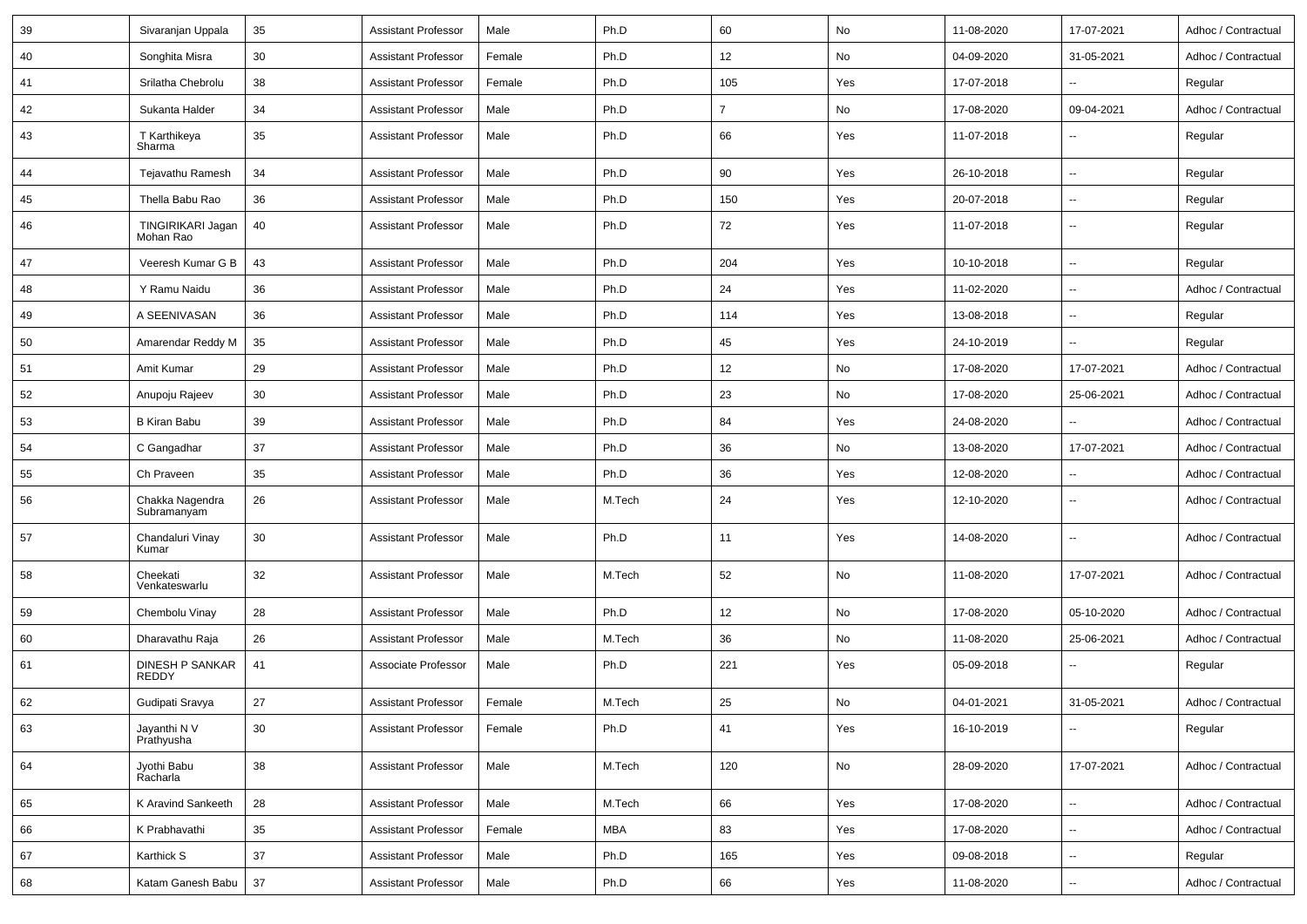| 39 | Sivaranjan Uppala               | 35 | <b>Assistant Professor</b> | Male   | Ph.D   | 60             | No  | 11-08-2020 | 17-07-2021               | Adhoc / Contractual |
|----|---------------------------------|----|----------------------------|--------|--------|----------------|-----|------------|--------------------------|---------------------|
| 40 | Songhita Misra                  | 30 | <b>Assistant Professor</b> | Female | Ph.D   | 12             | No  | 04-09-2020 | 31-05-2021               | Adhoc / Contractual |
| 41 | Srilatha Chebrolu               | 38 | <b>Assistant Professor</b> | Female | Ph.D   | 105            | Yes | 17-07-2018 |                          | Regular             |
| 42 | Sukanta Halder                  | 34 | <b>Assistant Professor</b> | Male   | Ph.D   | $\overline{7}$ | No  | 17-08-2020 | 09-04-2021               | Adhoc / Contractual |
| 43 | T Karthikeya<br>Sharma          | 35 | <b>Assistant Professor</b> | Male   | Ph.D   | 66             | Yes | 11-07-2018 |                          | Regular             |
| 44 | Tejavathu Ramesh                | 34 | <b>Assistant Professor</b> | Male   | Ph.D   | 90             | Yes | 26-10-2018 | $\overline{\phantom{a}}$ | Regular             |
| 45 | Thella Babu Rao                 | 36 | <b>Assistant Professor</b> | Male   | Ph.D   | 150            | Yes | 20-07-2018 | $\overline{\phantom{a}}$ | Regular             |
| 46 | TINGIRIKARI Jagan<br>Mohan Rao  | 40 | <b>Assistant Professor</b> | Male   | Ph.D   | 72             | Yes | 11-07-2018 | $\overline{\phantom{a}}$ | Regular             |
| 47 | Veeresh Kumar G B               | 43 | <b>Assistant Professor</b> | Male   | Ph.D   | 204            | Yes | 10-10-2018 | $\overline{\phantom{a}}$ | Regular             |
| 48 | Y Ramu Naidu                    | 36 | Assistant Professor        | Male   | Ph.D   | 24             | Yes | 11-02-2020 | $\overline{\phantom{a}}$ | Adhoc / Contractual |
| 49 | A SEENIVASAN                    | 36 | <b>Assistant Professor</b> | Male   | Ph.D   | 114            | Yes | 13-08-2018 | $\sim$                   | Regular             |
| 50 | Amarendar Reddy M               | 35 | <b>Assistant Professor</b> | Male   | Ph.D   | 45             | Yes | 24-10-2019 |                          | Regular             |
| 51 | Amit Kumar                      | 29 | Assistant Professor        | Male   | Ph.D   | 12             | No  | 17-08-2020 | 17-07-2021               | Adhoc / Contractual |
| 52 | Anupoju Rajeev                  | 30 | Assistant Professor        | Male   | Ph.D   | 23             | No  | 17-08-2020 | 25-06-2021               | Adhoc / Contractual |
| 53 | <b>B Kiran Babu</b>             | 39 | Assistant Professor        | Male   | Ph.D   | 84             | Yes | 24-08-2020 |                          | Adhoc / Contractual |
| 54 | C Gangadhar                     | 37 | <b>Assistant Professor</b> | Male   | Ph.D   | 36             | No  | 13-08-2020 | 17-07-2021               | Adhoc / Contractual |
| 55 | Ch Praveen                      | 35 | <b>Assistant Professor</b> | Male   | Ph.D   | 36             | Yes | 12-08-2020 |                          | Adhoc / Contractual |
| 56 | Chakka Nagendra<br>Subramanyam  | 26 | <b>Assistant Professor</b> | Male   | M.Tech | 24             | Yes | 12-10-2020 | $\overline{\phantom{a}}$ | Adhoc / Contractual |
| 57 | Chandaluri Vinay<br>Kumar       | 30 | <b>Assistant Professor</b> | Male   | Ph.D   | 11             | Yes | 14-08-2020 | $\overline{\phantom{a}}$ | Adhoc / Contractual |
| 58 | Cheekati<br>Venkateswarlu       | 32 | <b>Assistant Professor</b> | Male   | M.Tech | 52             | No  | 11-08-2020 | 17-07-2021               | Adhoc / Contractual |
| 59 | Chembolu Vinay                  | 28 | <b>Assistant Professor</b> | Male   | Ph.D   | 12             | No  | 17-08-2020 | 05-10-2020               | Adhoc / Contractual |
| 60 | Dharavathu Raja                 | 26 | Assistant Professor        | Male   | M.Tech | 36             | No  | 11-08-2020 | 25-06-2021               | Adhoc / Contractual |
| 61 | DINESH P SANKAR<br><b>REDDY</b> | 41 | Associate Professor        | Male   | Ph.D   | 221            | Yes | 05-09-2018 |                          | Regular             |
| 62 | Gudipati Sravya                 | 27 | <b>Assistant Professor</b> | Female | M.Tech | 25             | No  | 04-01-2021 | 31-05-2021               | Adhoc / Contractual |
| 63 | Jayanthi N V<br>Prathyusha      | 30 | <b>Assistant Professor</b> | Female | Ph.D   | 41             | Yes | 16-10-2019 | $\sim$                   | Regular             |
| 64 | Jyothi Babu<br>Racharla         | 38 | <b>Assistant Professor</b> | Male   | M.Tech | 120            | No  | 28-09-2020 | 17-07-2021               | Adhoc / Contractual |
| 65 | K Aravind Sankeeth              | 28 | <b>Assistant Professor</b> | Male   | M.Tech | 66             | Yes | 17-08-2020 | $\overline{\phantom{a}}$ | Adhoc / Contractual |
| 66 | K Prabhavathi                   | 35 | <b>Assistant Professor</b> | Female | MBA    | 83             | Yes | 17-08-2020 | $\sim$                   | Adhoc / Contractual |
| 67 | Karthick S                      | 37 | <b>Assistant Professor</b> | Male   | Ph.D   | 165            | Yes | 09-08-2018 | $\overline{\phantom{a}}$ | Regular             |
| 68 | Katam Ganesh Babu               | 37 | <b>Assistant Professor</b> | Male   | Ph.D   | 66             | Yes | 11-08-2020 | $\overline{\phantom{a}}$ | Adhoc / Contractual |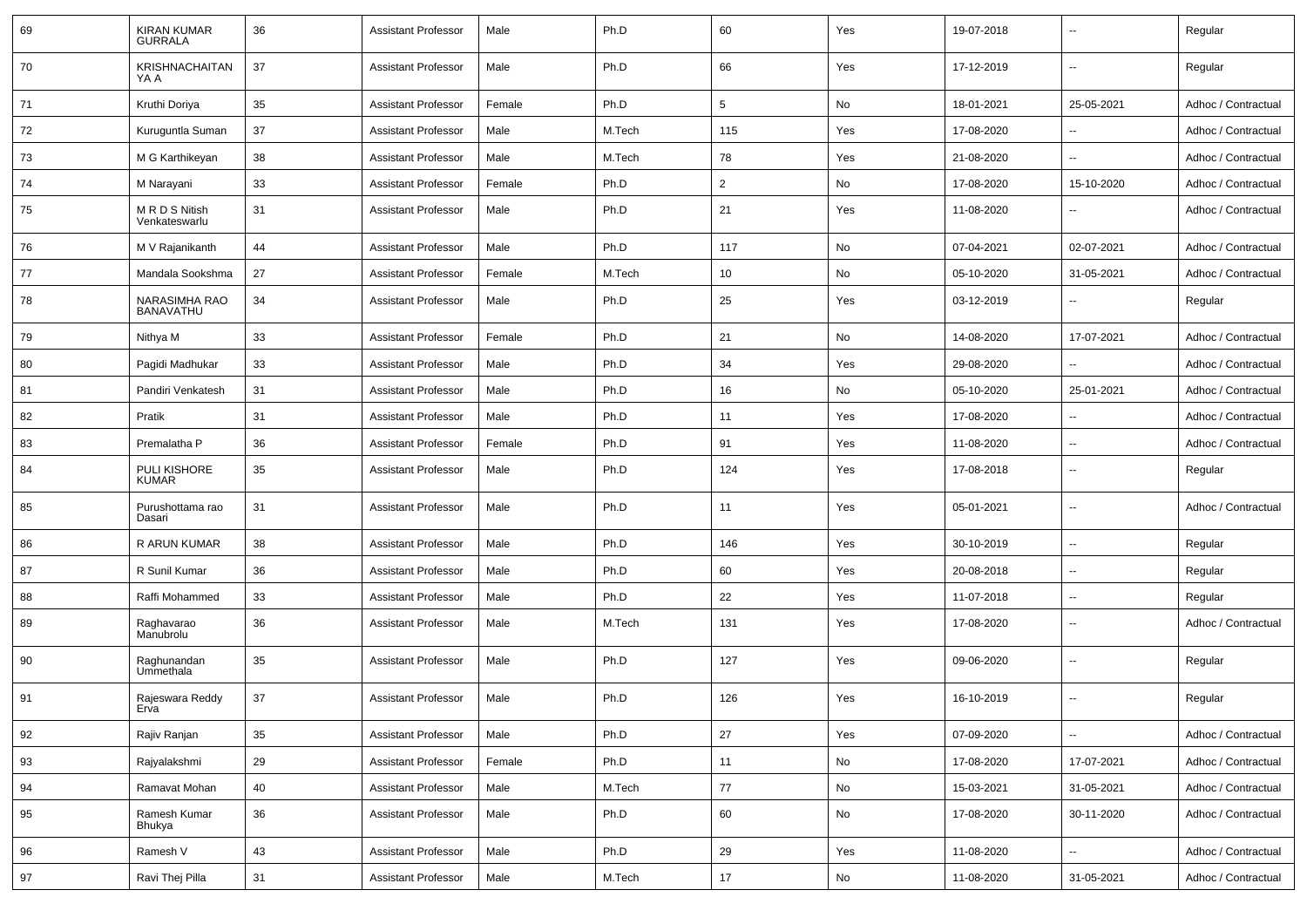| 69 | <b>KIRAN KUMAR</b><br><b>GURRALA</b> | 36 | <b>Assistant Professor</b> | Male   | Ph.D   | 60             | Yes | 19-07-2018 | $\overline{\phantom{a}}$ | Regular             |
|----|--------------------------------------|----|----------------------------|--------|--------|----------------|-----|------------|--------------------------|---------------------|
| 70 | <b>KRISHNACHAITAN</b><br>YA A        | 37 | <b>Assistant Professor</b> | Male   | Ph.D   | 66             | Yes | 17-12-2019 | $\sim$                   | Regular             |
| 71 | Kruthi Doriya                        | 35 | <b>Assistant Professor</b> | Female | Ph.D   | 5              | No  | 18-01-2021 | 25-05-2021               | Adhoc / Contractual |
| 72 | Kuruguntla Suman                     | 37 | <b>Assistant Professor</b> | Male   | M.Tech | 115            | Yes | 17-08-2020 | $\overline{\phantom{a}}$ | Adhoc / Contractual |
| 73 | M G Karthikeyan                      | 38 | <b>Assistant Professor</b> | Male   | M.Tech | 78             | Yes | 21-08-2020 | $\overline{\phantom{a}}$ | Adhoc / Contractual |
| 74 | M Narayani                           | 33 | <b>Assistant Professor</b> | Female | Ph.D   | $\overline{2}$ | No  | 17-08-2020 | 15-10-2020               | Adhoc / Contractual |
| 75 | M R D S Nitish<br>Venkateswarlu      | 31 | <b>Assistant Professor</b> | Male   | Ph.D   | 21             | Yes | 11-08-2020 | $\sim$                   | Adhoc / Contractual |
| 76 | M V Rajanikanth                      | 44 | <b>Assistant Professor</b> | Male   | Ph.D   | 117            | No  | 07-04-2021 | 02-07-2021               | Adhoc / Contractual |
| 77 | Mandala Sookshma                     | 27 | <b>Assistant Professor</b> | Female | M.Tech | 10             | No  | 05-10-2020 | 31-05-2021               | Adhoc / Contractual |
| 78 | NARASIMHA RAO<br><b>BANAVATHU</b>    | 34 | <b>Assistant Professor</b> | Male   | Ph.D   | 25             | Yes | 03-12-2019 | $\overline{\phantom{a}}$ | Regular             |
| 79 | Nithya M                             | 33 | <b>Assistant Professor</b> | Female | Ph.D   | 21             | No  | 14-08-2020 | 17-07-2021               | Adhoc / Contractual |
| 80 | Pagidi Madhukar                      | 33 | <b>Assistant Professor</b> | Male   | Ph.D   | 34             | Yes | 29-08-2020 |                          | Adhoc / Contractual |
| 81 | Pandiri Venkatesh                    | 31 | <b>Assistant Professor</b> | Male   | Ph.D   | 16             | No  | 05-10-2020 | 25-01-2021               | Adhoc / Contractual |
| 82 | Pratik                               | 31 | <b>Assistant Professor</b> | Male   | Ph.D   | 11             | Yes | 17-08-2020 |                          | Adhoc / Contractual |
| 83 | Premalatha P                         | 36 | <b>Assistant Professor</b> | Female | Ph.D   | 91             | Yes | 11-08-2020 | $\overline{\phantom{a}}$ | Adhoc / Contractual |
| 84 | <b>PULI KISHORE</b><br><b>KUMAR</b>  | 35 | <b>Assistant Professor</b> | Male   | Ph.D   | 124            | Yes | 17-08-2018 | $\sim$                   | Regular             |
| 85 | Purushottama rao<br>Dasari           | 31 | <b>Assistant Professor</b> | Male   | Ph.D   | 11             | Yes | 05-01-2021 | $\sim$                   | Adhoc / Contractual |
| 86 | R ARUN KUMAR                         | 38 | <b>Assistant Professor</b> | Male   | Ph.D   | 146            | Yes | 30-10-2019 | $\sim$                   | Regular             |
| 87 | R Sunil Kumar                        | 36 | <b>Assistant Professor</b> | Male   | Ph.D   | 60             | Yes | 20-08-2018 | $\sim$                   | Regular             |
| 88 | Raffi Mohammed                       | 33 | Assistant Professor        | Male   | Ph.D   | 22             | Yes | 11-07-2018 | $\overline{\phantom{a}}$ | Regular             |
| 89 | Raghavarao<br>Manubrolu              | 36 | Assistant Professor        | Male   | M.Tech | 131            | Yes | 17-08-2020 | $\sim$                   | Adhoc / Contractual |
| 90 | Raghunandan<br>Ummethala             | 35 | Assistant Professor        | Male   | Ph.D   | 127            | Yes | 09-06-2020 | $\sim$                   | Regular             |
| 91 | Rajeswara Reddy<br>Erva              | 37 | <b>Assistant Professor</b> | Male   | Ph.D   | 126            | Yes | 16-10-2019 | $\sim$                   | Regular             |
| 92 | Rajiv Ranjan                         | 35 | <b>Assistant Professor</b> | Male   | Ph.D   | 27             | Yes | 07-09-2020 | $\sim$                   | Adhoc / Contractual |
| 93 | Rajyalakshmi                         | 29 | <b>Assistant Professor</b> | Female | Ph.D   | 11             | No  | 17-08-2020 | 17-07-2021               | Adhoc / Contractual |
| 94 | Ramavat Mohan                        | 40 | <b>Assistant Professor</b> | Male   | M.Tech | 77             | No  | 15-03-2021 | 31-05-2021               | Adhoc / Contractual |
| 95 | Ramesh Kumar<br>Bhukya               | 36 | <b>Assistant Professor</b> | Male   | Ph.D   | 60             | No  | 17-08-2020 | 30-11-2020               | Adhoc / Contractual |
| 96 | Ramesh V                             | 43 | <b>Assistant Professor</b> | Male   | Ph.D   | 29             | Yes | 11-08-2020 | $\sim$                   | Adhoc / Contractual |
| 97 | Ravi Thej Pilla                      | 31 | <b>Assistant Professor</b> | Male   | M.Tech | 17             | No  | 11-08-2020 | 31-05-2021               | Adhoc / Contractual |